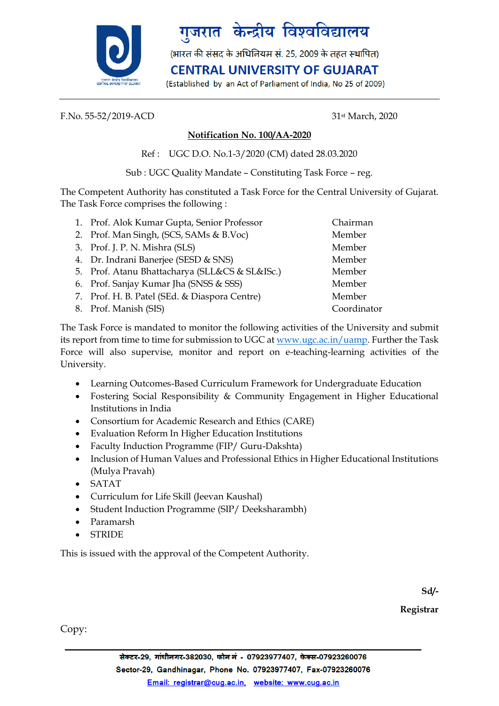

## गुजरात केन्द्रीय विश्वविद्यालय

(भारत की संसद के अधिनियम सं. 25, 2009 के तहत स्थापित)

**CENTRAL UNIVERSITY OF GUJARAT** 

(Established by an Act of Parliament of India, No 25 of 2009)

F.No. 55-52/2019-ACD 31st March, 2020

## **Notification No. 100/AA-2020**

Ref : UGC D.O. No.1-3/2020 (CM) dated 28.03.2020

Sub : UGC Quality Mandate – Constituting Task Force – reg.

The Competent Authority has constituted a Task Force for the Central University of Gujarat. The Task Force comprises the following :

| 1. Prof. Alok Kumar Gupta, Senior Professor    | Chairman    |
|------------------------------------------------|-------------|
| 2. Prof. Man Singh, (SCS, SAMs & B.Voc)        | Member      |
| 3. Prof. J. P. N. Mishra (SLS)                 | Member      |
| 4. Dr. Indrani Banerjee (SESD & SNS)           | Member      |
| 5. Prof. Atanu Bhattacharya (SLL&CS & SL&ISc.) | Member      |
| 6. Prof. Sanjay Kumar Jha (SNSS & SSS)         | Member      |
| 7. Prof. H. B. Patel (SEd. & Diaspora Centre)  | Member      |
| 8. Prof. Manish (SIS)                          | Coordinator |

The Task Force is mandated to monitor the following activities of the University and submit its report from time to time for submission to UGC at [www.ugc.ac.in/uamp.](http://www.ugc.ac.in/uamp) Further the Task Force will also supervise, monitor and report on e-teaching-learning activities of the University.

- Learning Outcomes-Based Curriculum Framework for Undergraduate Education
- Fostering Social Responsibility & Community Engagement in Higher Educational Institutions in India
- Consortium for Academic Research and Ethics (CARE)
- Evaluation Reform In Higher Education Institutions
- Faculty Induction Programme (FIP/ Guru-Dakshta)
- Inclusion of Human Values and Professional Ethics in Higher Educational Institutions (Mulya Pravah)
- SATAT
- Curriculum for Life Skill (Jeevan Kaushal)
- Student Induction Programme (SIP/ Deeksharambh)
- Paramarsh
- **STRIDE**

This is issued with the approval of the Competent Authority.

**Sd/-**

**Registrar**

Copy: